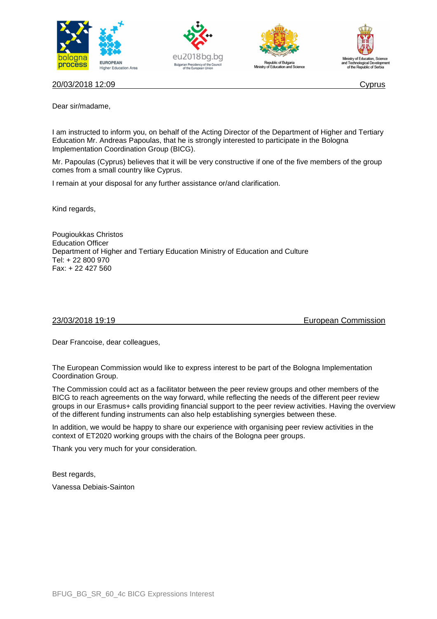







20/03/2018 12:09 Cyprus

Dear sir/madame,

I am instructed to inform you, on behalf of the Acting Director of the Department of Higher and Tertiary Education Mr. Andreas Papoulas, that he is strongly interested to participate in the Bologna Implementation Coordination Group (BICG).

Mr. Papoulas (Cyprus) believes that it will be very constructive if one of the five members of the group comes from a small country like Cyprus.

I remain at your disposal for any further assistance or/and clarification.

Kind regards,

Pougioukkas Christos Education Officer Department of Higher and Tertiary Education Ministry of Education and Culture Tel: + 22 800 970 Fax: + 22 427 560

23/03/2018 19:19 European Commission

Dear Francoise, dear colleagues,

The European Commission would like to express interest to be part of the Bologna Implementation Coordination Group.

The Commission could act as a facilitator between the peer review groups and other members of the BICG to reach agreements on the way forward, while reflecting the needs of the different peer review groups in our Erasmus+ calls providing financial support to the peer review activities. Having the overview of the different funding instruments can also help establishing synergies between these.

In addition, we would be happy to share our experience with organising peer review activities in the context of ET2020 working groups with the chairs of the Bologna peer groups.

Thank you very much for your consideration.

Best regards,

Vanessa Debiais-Sainton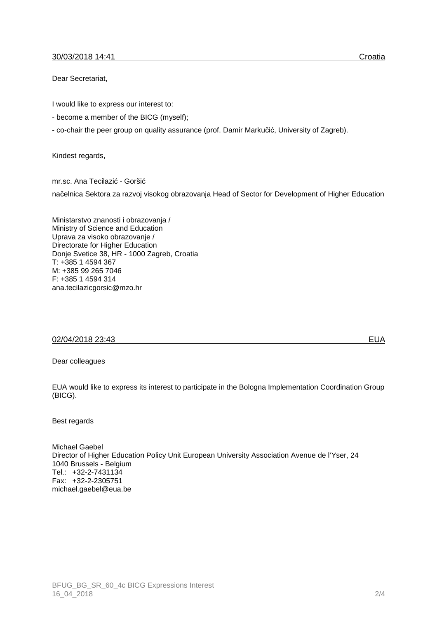# 30/03/2018 14:41 Croatia

Dear Secretariat,

I would like to express our interest to:

- become a member of the BICG (myself);
- co-chair the peer group on quality assurance (prof. Damir Markučić, University of Zagreb).

Kindest regards,

mr.sc. Ana Tecilazić - Goršić načelnica Sektora za razvoj visokog obrazovanja Head of Sector for Development of Higher Education

Ministarstvo znanosti i obrazovanja / Ministry of Science and Education Uprava za visoko obrazovanje / Directorate for Higher Education Donje Svetice 38, HR - 1000 Zagreb, Croatia T: +385 1 4594 367 M: +385 99 265 7046 F: +385 1 4594 314 ana.tecilazicgorsic@mzo.hr

## 02/04/2018 23:43 EUA

Dear colleagues

EUA would like to express its interest to participate in the Bologna Implementation Coordination Group (BICG).

Best regards

Michael Gaebel Director of Higher Education Policy Unit European University Association Avenue de l'Yser, 24 1040 Brussels - Belgium Tel.: +32-2-7431134 Fax: +32-2-2305751 michael.gaebel@eua.be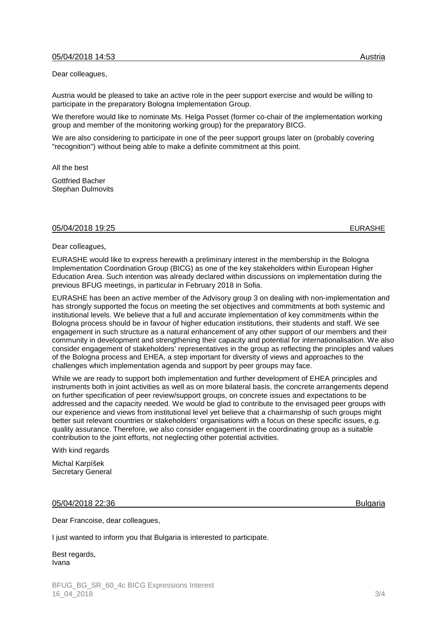Dear colleagues,

Austria would be pleased to take an active role in the peer support exercise and would be willing to participate in the preparatory Bologna Implementation Group.

We therefore would like to nominate Ms. Helga Posset (former co-chair of the implementation working group and member of the monitoring working group) for the preparatory BICG.

We are also considering to participate in one of the peer support groups later on (probably covering "recognition") without being able to make a definite commitment at this point.

All the best Gottfried Bacher

Stephan Dulmovits

### 05/04/2018 19:25 EURASHE

Dear colleagues,

EURASHE would like to express herewith a preliminary interest in the membership in the Bologna Implementation Coordination Group (BICG) as one of the key stakeholders within European Higher Education Area. Such intention was already declared within discussions on implementation during the previous BFUG meetings, in particular in February 2018 in Sofia.

EURASHE has been an active member of the Advisory group 3 on dealing with non-implementation and has strongly supported the focus on meeting the set objectives and commitments at both systemic and institutional levels. We believe that a full and accurate implementation of key commitments within the Bologna process should be in favour of higher education institutions, their students and staff. We see engagement in such structure as a natural enhancement of any other support of our members and their community in development and strengthening their capacity and potential for internationalisation. We also consider engagement of stakeholders' representatives in the group as reflecting the principles and values of the Bologna process and EHEA, a step important for diversity of views and approaches to the challenges which implementation agenda and support by peer groups may face.

While we are ready to support both implementation and further development of EHEA principles and instruments both in joint activities as well as on more bilateral basis, the concrete arrangements depend on further specification of peer review/support groups, on concrete issues and expectations to be addressed and the capacity needed. We would be glad to contribute to the envisaged peer groups with our experience and views from institutional level yet believe that a chairmanship of such groups might better suit relevant countries or stakeholders' organisations with a focus on these specific issues, e.g. quality assurance. Therefore, we also consider engagement in the coordinating group as a suitable contribution to the joint efforts, not neglecting other potential activities.

With kind regards

Michal Karpíšek Secretary General

## 05/04/2018 22:36 Bulgaria

Dear Francoise, dear colleagues,

I just wanted to inform you that Bulgaria is interested to participate.

Best regards, Ivana